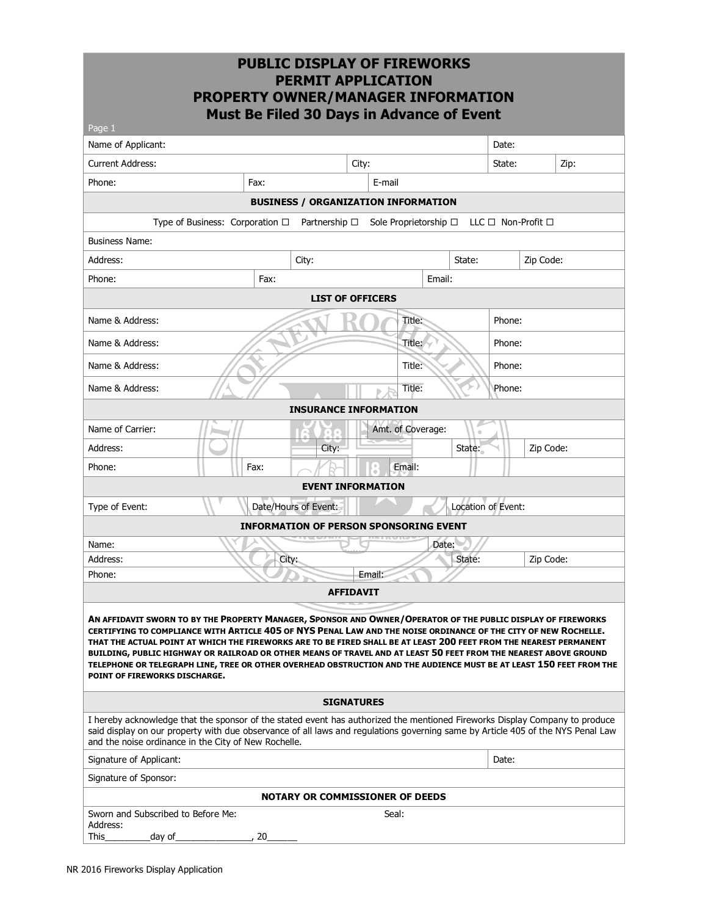| Page 1                                                                                                                                                                                                                                                                                                                                                                                                                                                                                                                                                                                                                            | <b>PROPERTY OWNER/MANAGER INFORMATION</b><br>Must Be Filed 30 Days in Advance of Event | <b>PUBLIC DISPLAY OF FIREWORKS</b><br><b>PERMIT APPLICATION</b> |                         |                               |                    |           |                              |      |
|-----------------------------------------------------------------------------------------------------------------------------------------------------------------------------------------------------------------------------------------------------------------------------------------------------------------------------------------------------------------------------------------------------------------------------------------------------------------------------------------------------------------------------------------------------------------------------------------------------------------------------------|----------------------------------------------------------------------------------------|-----------------------------------------------------------------|-------------------------|-------------------------------|--------------------|-----------|------------------------------|------|
| Name of Applicant:                                                                                                                                                                                                                                                                                                                                                                                                                                                                                                                                                                                                                |                                                                                        |                                                                 |                         |                               |                    | Date:     |                              |      |
| <b>Current Address:</b>                                                                                                                                                                                                                                                                                                                                                                                                                                                                                                                                                                                                           |                                                                                        |                                                                 | City:                   |                               |                    | State:    |                              | Zip: |
| Phone:                                                                                                                                                                                                                                                                                                                                                                                                                                                                                                                                                                                                                            | Fax:                                                                                   |                                                                 | E-mail                  |                               |                    |           |                              |      |
|                                                                                                                                                                                                                                                                                                                                                                                                                                                                                                                                                                                                                                   |                                                                                        | <b>BUSINESS / ORGANIZATION INFORMATION</b>                      |                         |                               |                    |           |                              |      |
|                                                                                                                                                                                                                                                                                                                                                                                                                                                                                                                                                                                                                                   | Type of Business: Corporation □                                                        | Partnership $\Box$                                              |                         | Sole Proprietorship $\square$ |                    |           | $LLC \Box$ Non-Profit $\Box$ |      |
| <b>Business Name:</b>                                                                                                                                                                                                                                                                                                                                                                                                                                                                                                                                                                                                             |                                                                                        |                                                                 |                         |                               |                    |           |                              |      |
| Address:                                                                                                                                                                                                                                                                                                                                                                                                                                                                                                                                                                                                                          |                                                                                        | City:                                                           |                         |                               | State:             | Zip Code: |                              |      |
| Phone:                                                                                                                                                                                                                                                                                                                                                                                                                                                                                                                                                                                                                            | Fax:                                                                                   |                                                                 |                         | Email:                        |                    |           |                              |      |
|                                                                                                                                                                                                                                                                                                                                                                                                                                                                                                                                                                                                                                   |                                                                                        |                                                                 | <b>LIST OF OFFICERS</b> |                               |                    |           |                              |      |
| Name & Address:                                                                                                                                                                                                                                                                                                                                                                                                                                                                                                                                                                                                                   |                                                                                        |                                                                 |                         | Title:                        |                    | Phone:    |                              |      |
|                                                                                                                                                                                                                                                                                                                                                                                                                                                                                                                                                                                                                                   |                                                                                        |                                                                 |                         |                               |                    |           |                              |      |
| Name & Address:                                                                                                                                                                                                                                                                                                                                                                                                                                                                                                                                                                                                                   |                                                                                        |                                                                 |                         | Title:                        |                    | Phone:    |                              |      |
| Name & Address:                                                                                                                                                                                                                                                                                                                                                                                                                                                                                                                                                                                                                   |                                                                                        |                                                                 |                         | Title:                        |                    | Phone:    |                              |      |
| Name & Address:                                                                                                                                                                                                                                                                                                                                                                                                                                                                                                                                                                                                                   |                                                                                        |                                                                 |                         | Title:                        |                    | Phone:    |                              |      |
| <b>INSURANCE INFORMATION</b>                                                                                                                                                                                                                                                                                                                                                                                                                                                                                                                                                                                                      |                                                                                        |                                                                 |                         |                               |                    |           |                              |      |
| Name of Carrier:                                                                                                                                                                                                                                                                                                                                                                                                                                                                                                                                                                                                                  |                                                                                        |                                                                 |                         | Amt. of Coverage:             |                    |           |                              |      |
| Address:                                                                                                                                                                                                                                                                                                                                                                                                                                                                                                                                                                                                                          |                                                                                        | City:                                                           |                         |                               | State:             |           | Zip Code:                    |      |
| Phone:                                                                                                                                                                                                                                                                                                                                                                                                                                                                                                                                                                                                                            | Fax:                                                                                   |                                                                 |                         | Email:                        |                    |           |                              |      |
| <b>EVENT INFORMATION</b>                                                                                                                                                                                                                                                                                                                                                                                                                                                                                                                                                                                                          |                                                                                        |                                                                 |                         |                               |                    |           |                              |      |
| Type of Event:                                                                                                                                                                                                                                                                                                                                                                                                                                                                                                                                                                                                                    |                                                                                        | Date/Hours of Event:                                            |                         |                               | Location of Event: |           |                              |      |
|                                                                                                                                                                                                                                                                                                                                                                                                                                                                                                                                                                                                                                   |                                                                                        | <b>INFORMATION OF PERSON SPONSORING EVENT</b>                   |                         |                               |                    |           |                              |      |
| Name:                                                                                                                                                                                                                                                                                                                                                                                                                                                                                                                                                                                                                             |                                                                                        |                                                                 |                         | Date:                         |                    |           |                              |      |
| Address:                                                                                                                                                                                                                                                                                                                                                                                                                                                                                                                                                                                                                          | City:                                                                                  |                                                                 |                         |                               | State:             |           | Zip Code:                    |      |
| Email:<br>Phone:                                                                                                                                                                                                                                                                                                                                                                                                                                                                                                                                                                                                                  |                                                                                        |                                                                 |                         |                               |                    |           |                              |      |
|                                                                                                                                                                                                                                                                                                                                                                                                                                                                                                                                                                                                                                   |                                                                                        |                                                                 | <b>AFFIDAVIT</b>        |                               |                    |           |                              |      |
| AN AFFIDAVIT SWORN TO BY THE PROPERTY MANAGER, SPONSOR AND OWNER/OPERATOR OF THE PUBLIC DISPLAY OF FIREWORKS<br>CERTIFYING TO COMPLIANCE WITH ARTICLE 405 OF NYS PENAL LAW AND THE NOISE ORDINANCE OF THE CITY OF NEW ROCHELLE.<br>THAT THE ACTUAL POINT AT WHICH THE FIREWORKS ARE TO BE FIRED SHALL BE AT LEAST 200 FEET FROM THE NEAREST PERMANENT<br>BUILDING, PUBLIC HIGHWAY OR RAILROAD OR OTHER MEANS OF TRAVEL AND AT LEAST 50 FEET FROM THE NEAREST ABOVE GROUND<br>TELEPHONE OR TELEGRAPH LINE, TREE OR OTHER OVERHEAD OBSTRUCTION AND THE AUDIENCE MUST BE AT LEAST 150 FEET FROM THE<br>POINT OF FIREWORKS DISCHARGE. |                                                                                        |                                                                 |                         |                               |                    |           |                              |      |
|                                                                                                                                                                                                                                                                                                                                                                                                                                                                                                                                                                                                                                   |                                                                                        |                                                                 | <b>SIGNATURES</b>       |                               |                    |           |                              |      |
| I hereby acknowledge that the sponsor of the stated event has authorized the mentioned Fireworks Display Company to produce<br>said display on our property with due observance of all laws and regulations governing same by Article 405 of the NYS Penal Law<br>and the noise ordinance in the City of New Rochelle.                                                                                                                                                                                                                                                                                                            |                                                                                        |                                                                 |                         |                               |                    |           |                              |      |
| Signature of Applicant:                                                                                                                                                                                                                                                                                                                                                                                                                                                                                                                                                                                                           |                                                                                        |                                                                 |                         |                               | Date:              |           |                              |      |
| Signature of Sponsor:                                                                                                                                                                                                                                                                                                                                                                                                                                                                                                                                                                                                             |                                                                                        |                                                                 |                         |                               |                    |           |                              |      |
|                                                                                                                                                                                                                                                                                                                                                                                                                                                                                                                                                                                                                                   |                                                                                        | <b>NOTARY OR COMMISSIONER OF DEEDS</b>                          |                         |                               |                    |           |                              |      |
| Sworn and Subscribed to Before Me:<br>Address:<br>This<br>day of                                                                                                                                                                                                                                                                                                                                                                                                                                                                                                                                                                  | , 20                                                                                   |                                                                 | Seal:                   |                               |                    |           |                              |      |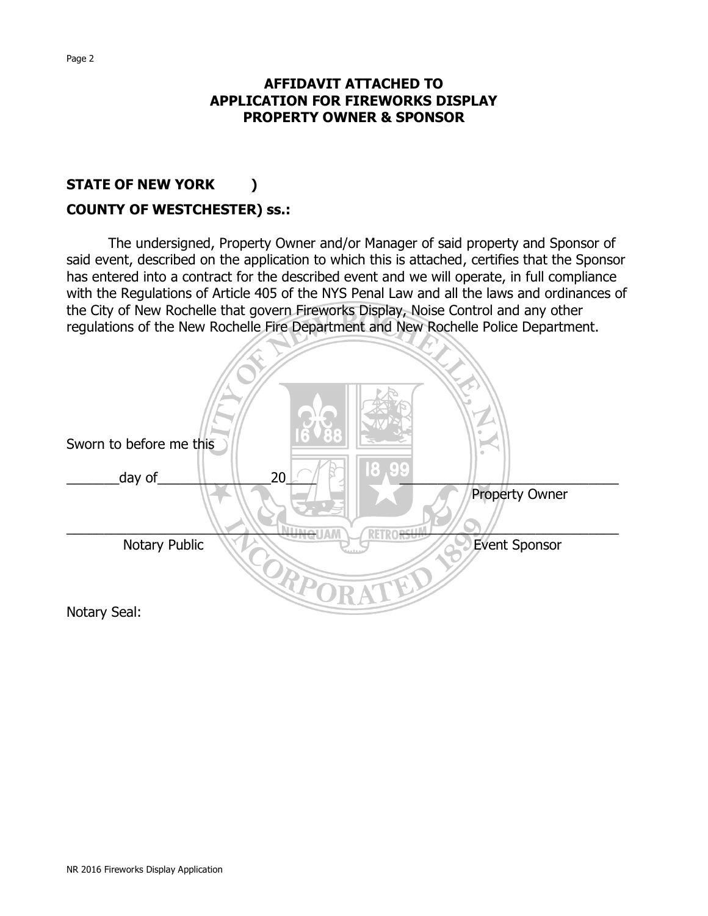### **AFFIDAVIT ATTACHED TO APPLICATION FOR FIREWORKS DISPLAY PROPERTY OWNER & SPONSOR**

# **STATE OF NEW YORK ) COUNTY OF WESTCHESTER) ss.:**

The undersigned, Property Owner and/or Manager of said property and Sponsor of said event, described on the application to which this is attached, certifies that the Sponsor has entered into a contract for the described event and we will operate, in full compliance with the Regulations of Article 405 of the NYS Penal Law and all the laws and ordinances of the City of New Rochelle that govern Fireworks Display, Noise Control and any other regulations of the New Rochelle Fire Department and New Rochelle Police Department.

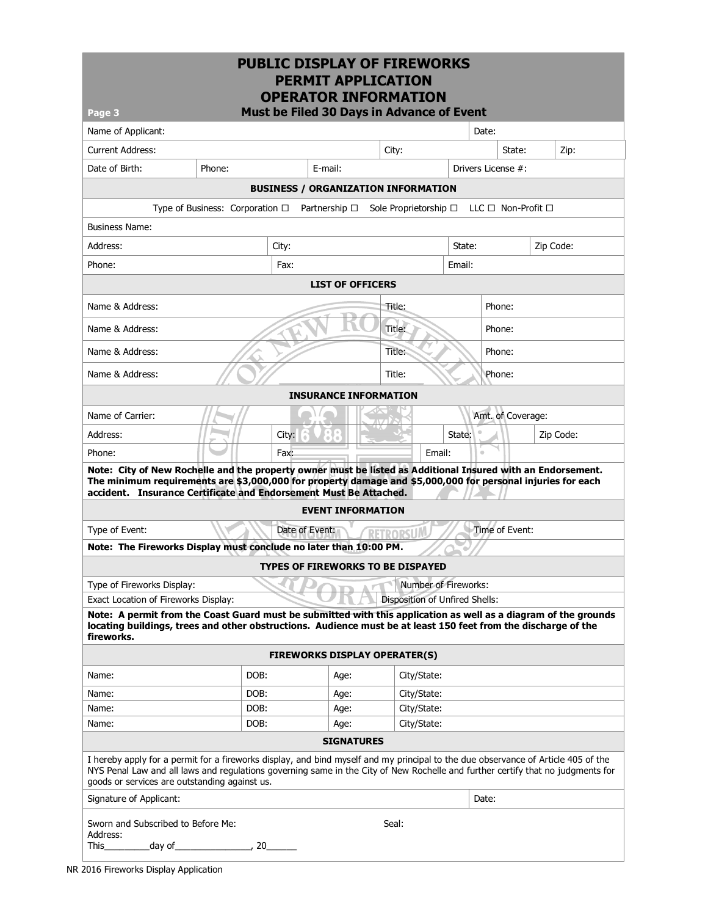| Page 3                                                                                                                                                                                                                                                                                                                |                                 | <b>PUBLIC DISPLAY OF FIREWORKS</b><br><b>OPERATOR INFORMATION</b><br>Must be Filed 30 Days in Advance of Event | <b>PERMIT APPLICATION</b>            |  |        |                                       |                    |                |        |                              |           |
|-----------------------------------------------------------------------------------------------------------------------------------------------------------------------------------------------------------------------------------------------------------------------------------------------------------------------|---------------------------------|----------------------------------------------------------------------------------------------------------------|--------------------------------------|--|--------|---------------------------------------|--------------------|----------------|--------|------------------------------|-----------|
| Name of Applicant:                                                                                                                                                                                                                                                                                                    |                                 |                                                                                                                |                                      |  |        |                                       |                    | Date:          |        |                              |           |
| <b>Current Address:</b>                                                                                                                                                                                                                                                                                               |                                 |                                                                                                                |                                      |  | City:  |                                       |                    |                | State: |                              | Zip:      |
| Date of Birth:                                                                                                                                                                                                                                                                                                        | Phone:                          |                                                                                                                | E-mail:                              |  |        |                                       | Drivers License #: |                |        |                              |           |
|                                                                                                                                                                                                                                                                                                                       |                                 | <b>BUSINESS / ORGANIZATION INFORMATION</b>                                                                     |                                      |  |        |                                       |                    |                |        |                              |           |
|                                                                                                                                                                                                                                                                                                                       | Type of Business: Corporation □ |                                                                                                                | Partnership $\Box$                   |  |        | Sole Proprietorship □                 |                    |                |        | $LLC \Box$ Non-Profit $\Box$ |           |
| <b>Business Name:</b>                                                                                                                                                                                                                                                                                                 |                                 |                                                                                                                |                                      |  |        |                                       |                    |                |        |                              |           |
| Address:                                                                                                                                                                                                                                                                                                              |                                 | City:                                                                                                          |                                      |  |        |                                       | State:             | Zip Code:      |        |                              |           |
| Phone:                                                                                                                                                                                                                                                                                                                |                                 | Fax:                                                                                                           |                                      |  |        |                                       |                    |                |        |                              |           |
|                                                                                                                                                                                                                                                                                                                       |                                 |                                                                                                                |                                      |  |        |                                       | Email:             |                |        |                              |           |
| <b>LIST OF OFFICERS</b>                                                                                                                                                                                                                                                                                               |                                 |                                                                                                                |                                      |  |        |                                       |                    |                |        |                              |           |
| Name & Address:                                                                                                                                                                                                                                                                                                       |                                 |                                                                                                                |                                      |  | Title: | Phone:                                |                    |                |        |                              |           |
| Name & Address:                                                                                                                                                                                                                                                                                                       |                                 |                                                                                                                |                                      |  | Title: |                                       |                    |                | Phone: |                              |           |
| Name & Address:                                                                                                                                                                                                                                                                                                       |                                 |                                                                                                                |                                      |  | Title: |                                       |                    | Phone:         |        |                              |           |
| Name & Address:                                                                                                                                                                                                                                                                                                       |                                 |                                                                                                                |                                      |  | Title: |                                       |                    |                | Phone: |                              |           |
|                                                                                                                                                                                                                                                                                                                       |                                 |                                                                                                                | <b>INSURANCE INFORMATION</b>         |  |        |                                       |                    |                |        |                              |           |
| Name of Carrier:                                                                                                                                                                                                                                                                                                      |                                 |                                                                                                                |                                      |  |        |                                       |                    |                |        | Amt. of Coverage:            |           |
| Address:                                                                                                                                                                                                                                                                                                              |                                 | City:                                                                                                          |                                      |  |        |                                       | State:             |                |        |                              | Zip Code: |
| Phone:                                                                                                                                                                                                                                                                                                                |                                 | Fax:                                                                                                           |                                      |  |        | Email:                                |                    | $\alpha$       |        |                              |           |
| Note: City of New Rochelle and the property owner must be listed as Additional Insured with an Endorsement.<br>The minimum requirements are \$3,000,000 for property damage and \$5,000,000 for personal injuries for each<br>accident. Insurance Certificate and Endorsement Must Be Attached.                       |                                 |                                                                                                                |                                      |  |        |                                       |                    |                |        |                              |           |
|                                                                                                                                                                                                                                                                                                                       |                                 |                                                                                                                | <b>EVENT INFORMATION</b>             |  |        |                                       |                    |                |        |                              |           |
| Type of Event:                                                                                                                                                                                                                                                                                                        |                                 | Date of Event:                                                                                                 |                                      |  |        |                                       |                    | Time of Event: |        |                              |           |
| Note: The Fireworks Display must conclude no later than 10:00 PM.                                                                                                                                                                                                                                                     |                                 |                                                                                                                |                                      |  |        |                                       |                    |                |        |                              |           |
|                                                                                                                                                                                                                                                                                                                       |                                 | TYPES OF FIREWORKS TO BE DISPAYED                                                                              |                                      |  |        |                                       |                    |                |        |                              |           |
| Type of Fireworks Display:                                                                                                                                                                                                                                                                                            |                                 |                                                                                                                |                                      |  |        | Number of Fireworks:                  |                    |                |        |                              |           |
| Exact Location of Fireworks Display:                                                                                                                                                                                                                                                                                  |                                 |                                                                                                                |                                      |  |        | <b>Disposition of Unfired Shells:</b> |                    |                |        |                              |           |
| Note: A permit from the Coast Guard must be submitted with this application as well as a diagram of the grounds<br>locating buildings, trees and other obstructions. Audience must be at least 150 feet from the discharge of the<br>fireworks.                                                                       |                                 |                                                                                                                |                                      |  |        |                                       |                    |                |        |                              |           |
|                                                                                                                                                                                                                                                                                                                       |                                 |                                                                                                                | <b>FIREWORKS DISPLAY OPERATER(S)</b> |  |        |                                       |                    |                |        |                              |           |
| Name:                                                                                                                                                                                                                                                                                                                 |                                 | DOB:                                                                                                           | Age:                                 |  |        | City/State:                           |                    |                |        |                              |           |
| Name:                                                                                                                                                                                                                                                                                                                 |                                 | DOB:                                                                                                           | Age:                                 |  |        | City/State:                           |                    |                |        |                              |           |
| Name:                                                                                                                                                                                                                                                                                                                 |                                 | DOB:                                                                                                           | Age:                                 |  |        | City/State:                           |                    |                |        |                              |           |
| Name:                                                                                                                                                                                                                                                                                                                 |                                 | DOB:                                                                                                           | Age:                                 |  |        | City/State:                           |                    |                |        |                              |           |
|                                                                                                                                                                                                                                                                                                                       |                                 |                                                                                                                | <b>SIGNATURES</b>                    |  |        |                                       |                    |                |        |                              |           |
| I hereby apply for a permit for a fireworks display, and bind myself and my principal to the due observance of Article 405 of the<br>NYS Penal Law and all laws and regulations governing same in the City of New Rochelle and further certify that no judgments for<br>goods or services are outstanding against us. |                                 |                                                                                                                |                                      |  |        |                                       |                    |                |        |                              |           |
| Signature of Applicant:                                                                                                                                                                                                                                                                                               |                                 |                                                                                                                |                                      |  | Date:  |                                       |                    |                |        |                              |           |
| Sworn and Subscribed to Before Me:<br>Address:<br>This<br>_day of_                                                                                                                                                                                                                                                    |                                 | 20                                                                                                             |                                      |  | Seal:  |                                       |                    |                |        |                              |           |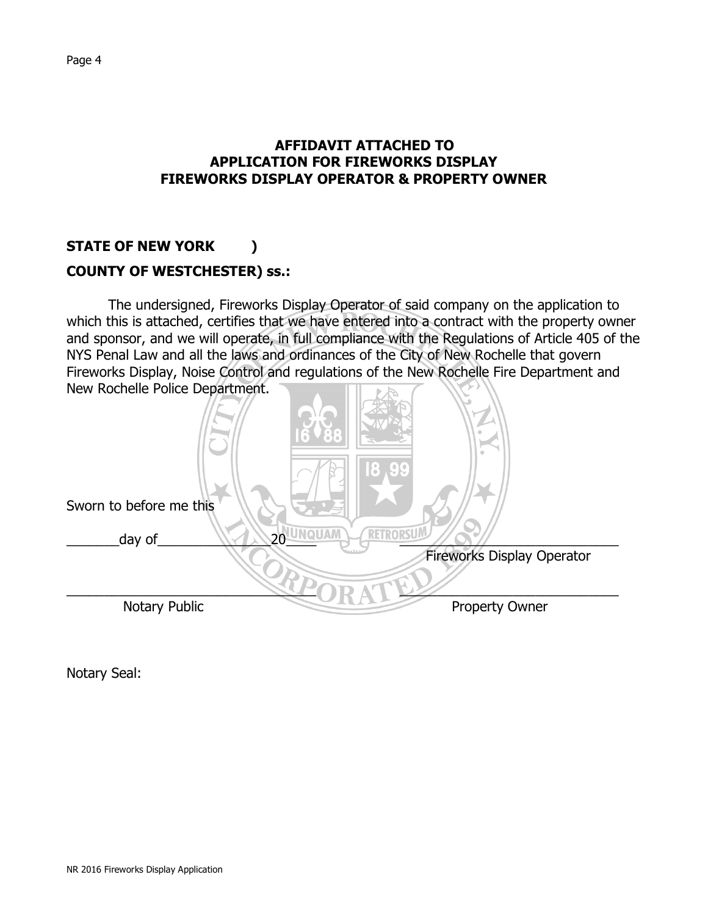### **AFFIDAVIT ATTACHED TO APPLICATION FOR FIREWORKS DISPLAY FIREWORKS DISPLAY OPERATOR & PROPERTY OWNER**

## **STATE OF NEW YORK )**

### **COUNTY OF WESTCHESTER) ss.:**

The undersigned, Fireworks Display Operator of said company on the application to which this is attached, certifies that we have entered into a contract with the property owner and sponsor, and we will operate, in full compliance with the Regulations of Article 405 of the NYS Penal Law and all the laws and ordinances of the City of New Rochelle that govern Fireworks Display, Noise Control and regulations of the New Rochelle Fire Department and New Rochelle Police Department.



Notary Seal: